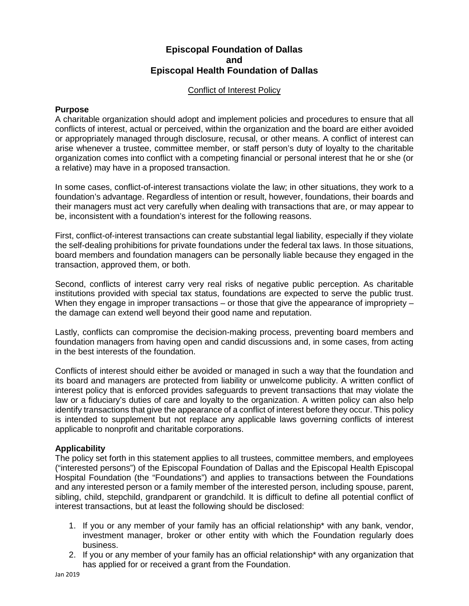## **Episcopal Foundation of Dallas and Episcopal Health Foundation of Dallas**

#### Conflict of Interest Policy

## **Purpose**

A charitable organization should adopt and implement policies and procedures to ensure that all conflicts of interest, actual or perceived, within the organization and the board are either avoided or appropriately managed through disclosure, recusal, or other means. A conflict of interest can arise whenever a trustee, committee member, or staff person's duty of loyalty to the charitable organization comes into conflict with a competing financial or personal interest that he or she (or a relative) may have in a proposed transaction.

In some cases, conflict-of-interest transactions violate the law; in other situations, they work to a foundation's advantage. Regardless of intention or result, however, foundations, their boards and their managers must act very carefully when dealing with transactions that are, or may appear to be, inconsistent with a foundation's interest for the following reasons.

First, conflict-of-interest transactions can create substantial legal liability, especially if they violate the self-dealing prohibitions for private foundations under the federal tax laws. In those situations, board members and foundation managers can be personally liable because they engaged in the transaction, approved them, or both.

Second, conflicts of interest carry very real risks of negative public perception. As charitable institutions provided with special tax status, foundations are expected to serve the public trust. When they engage in improper transactions – or those that give the appearance of impropriety – the damage can extend well beyond their good name and reputation.

Lastly, conflicts can compromise the decision-making process, preventing board members and foundation managers from having open and candid discussions and, in some cases, from acting in the best interests of the foundation.

Conflicts of interest should either be avoided or managed in such a way that the foundation and its board and managers are protected from liability or unwelcome publicity. A written conflict of interest policy that is enforced provides safeguards to prevent transactions that may violate the law or a fiduciary's duties of care and loyalty to the organization. A written policy can also help identify transactions that give the appearance of a conflict of interest before they occur. This policy is intended to supplement but not replace any applicable laws governing conflicts of interest applicable to nonprofit and charitable corporations.

## **Applicability**

The policy set forth in this statement applies to all trustees, committee members, and employees ("interested persons") of the Episcopal Foundation of Dallas and the Episcopal Health Episcopal Hospital Foundation (the "Foundations") and applies to transactions between the Foundations and any interested person or a family member of the interested person, including spouse, parent, sibling, child, stepchild, grandparent or grandchild. It is difficult to define all potential conflict of interest transactions, but at least the following should be disclosed:

- 1. If you or any member of your family has an official relationship\* with any bank, vendor, investment manager, broker or other entity with which the Foundation regularly does business.
- 2. If you or any member of your family has an official relationship\* with any organization that has applied for or received a grant from the Foundation.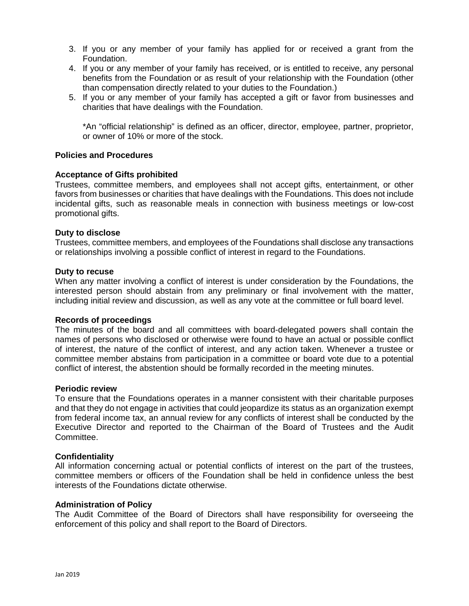- 3. If you or any member of your family has applied for or received a grant from the Foundation.
- 4. If you or any member of your family has received, or is entitled to receive, any personal benefits from the Foundation or as result of your relationship with the Foundation (other than compensation directly related to your duties to the Foundation.)
- 5. If you or any member of your family has accepted a gift or favor from businesses and charities that have dealings with the Foundation.

\*An "official relationship" is defined as an officer, director, employee, partner, proprietor, or owner of 10% or more of the stock.

#### **Policies and Procedures**

#### **Acceptance of Gifts prohibited**

Trustees, committee members, and employees shall not accept gifts, entertainment, or other favors from businesses or charities that have dealings with the Foundations. This does not include incidental gifts, such as reasonable meals in connection with business meetings or low-cost promotional gifts.

#### **Duty to disclose**

Trustees, committee members, and employees of the Foundations shall disclose any transactions or relationships involving a possible conflict of interest in regard to the Foundations.

#### **Duty to recuse**

When any matter involving a conflict of interest is under consideration by the Foundations, the interested person should abstain from any preliminary or final involvement with the matter, including initial review and discussion, as well as any vote at the committee or full board level.

#### **Records of proceedings**

The minutes of the board and all committees with board-delegated powers shall contain the names of persons who disclosed or otherwise were found to have an actual or possible conflict of interest, the nature of the conflict of interest, and any action taken. Whenever a trustee or committee member abstains from participation in a committee or board vote due to a potential conflict of interest, the abstention should be formally recorded in the meeting minutes.

#### **Periodic review**

To ensure that the Foundations operates in a manner consistent with their charitable purposes and that they do not engage in activities that could jeopardize its status as an organization exempt from federal income tax, an annual review for any conflicts of interest shall be conducted by the Executive Director and reported to the Chairman of the Board of Trustees and the Audit Committee.

#### **Confidentiality**

All information concerning actual or potential conflicts of interest on the part of the trustees, committee members or officers of the Foundation shall be held in confidence unless the best interests of the Foundations dictate otherwise.

#### **Administration of Policy**

The Audit Committee of the Board of Directors shall have responsibility for overseeing the enforcement of this policy and shall report to the Board of Directors.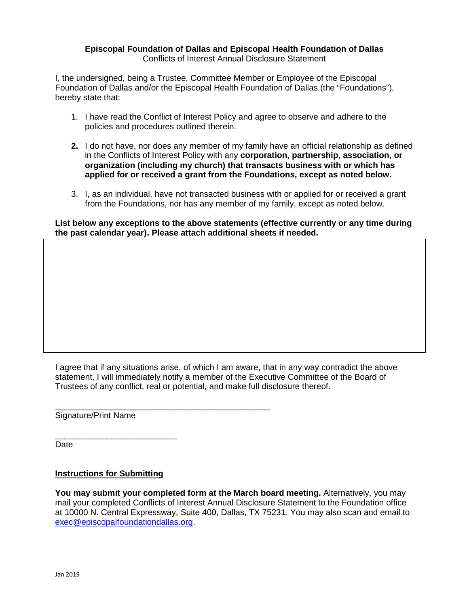#### **Episcopal Foundation of Dallas and Episcopal Health Foundation of Dallas** Conflicts of Interest Annual Disclosure Statement

I, the undersigned, being a Trustee, Committee Member or Employee of the Episcopal Foundation of Dallas and/or the Episcopal Health Foundation of Dallas (the "Foundations"), hereby state that:

- 1. I have read the Conflict of Interest Policy and agree to observe and adhere to the policies and procedures outlined therein.
- **2.** I do not have, nor does any member of my family have an official relationship as defined in the Conflicts of Interest Policy with any **corporation, partnership, association, or organization (including my church) that transacts business with or which has applied for or received a grant from the Foundations, except as noted below.**
- 3. I, as an individual, have not transacted business with or applied for or received a grant from the Foundations, nor has any member of my family, except as noted below.

**List below any exceptions to the above statements (effective currently or any time during the past calendar year). Please attach additional sheets if needed.**

I agree that if any situations arise, of which I am aware, that in any way contradict the above statement, I will immediately notify a member of the Executive Committee of the Board of Trustees of any conflict, real or potential, and make full disclosure thereof.

\_\_\_\_\_\_\_\_\_\_\_\_\_\_\_\_\_\_\_\_\_\_\_\_\_\_\_\_\_\_\_\_\_\_\_\_\_\_\_\_\_\_\_\_\_\_ Signature/Print Name

Date

## **Instructions for Submitting**

\_\_\_\_\_\_\_\_\_\_\_\_\_\_\_\_\_\_\_\_\_\_\_\_\_\_

**You may submit your completed form at the March board meeting.** Alternatively, you may mail your completed Conflicts of Interest Annual Disclosure Statement to the Foundation office at 10000 N. Central Expressway, Suite 400, Dallas, TX 75231. You may also scan and email to [exec@episcopalfoundationdallas.org.](mailto:exec@episcopalfoundationdallas.org)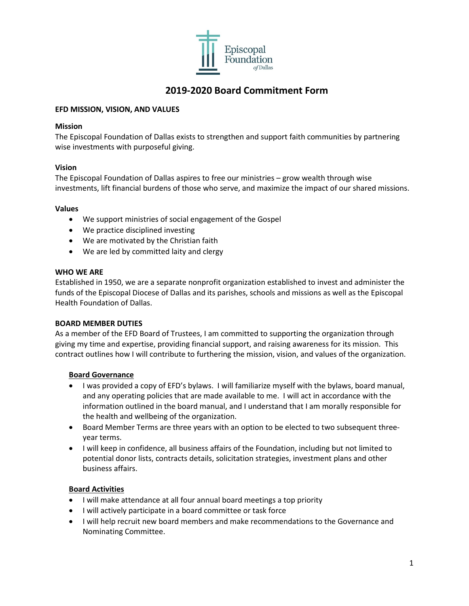

# **2019-2020 Board Commitment Form**

#### **EFD MISSION, VISION, AND VALUES**

#### **Mission**

The Episcopal Foundation of Dallas exists to strengthen and support faith communities by partnering wise investments with purposeful giving.

## **Vision**

The Episcopal Foundation of Dallas aspires to free our ministries – grow wealth through wise investments, lift financial burdens of those who serve, and maximize the impact of our shared missions.

#### **Values**

- We support ministries of social engagement of the Gospel
- We practice disciplined investing
- We are motivated by the Christian faith
- We are led by committed laity and clergy

#### **WHO WE ARE**

Established in 1950, we are a separate nonprofit organization established to invest and administer the funds of the Episcopal Diocese of Dallas and its parishes, schools and missions as well as the Episcopal Health Foundation of Dallas.

#### **BOARD MEMBER DUTIES**

As a member of the EFD Board of Trustees, I am committed to supporting the organization through giving my time and expertise, providing financial support, and raising awareness for its mission. This contract outlines how I will contribute to furthering the mission, vision, and values of the organization.

#### **Board Governance**

- I was provided a copy of EFD's bylaws. I will familiarize myself with the bylaws, board manual, and any operating policies that are made available to me. I will act in accordance with the information outlined in the board manual, and I understand that I am morally responsible for the health and wellbeing of the organization.
- Board Member Terms are three years with an option to be elected to two subsequent threeyear terms.
- I will keep in confidence, all business affairs of the Foundation, including but not limited to potential donor lists, contracts details, solicitation strategies, investment plans and other business affairs.

#### **Board Activities**

- I will make attendance at all four annual board meetings a top priority
- I will actively participate in a board committee or task force
- I will help recruit new board members and make recommendations to the Governance and Nominating Committee.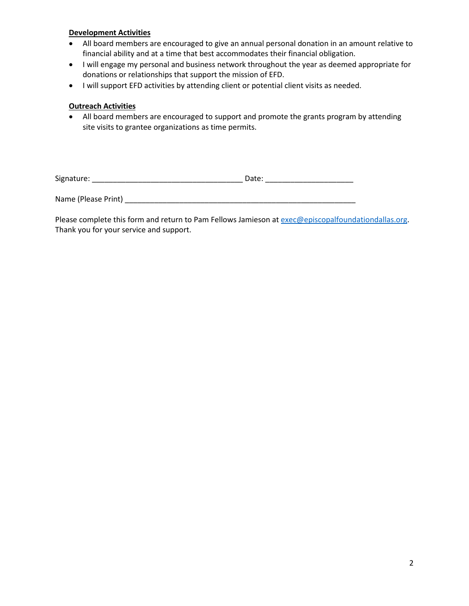#### **Development Activities**

- All board members are encouraged to give an annual personal donation in an amount relative to financial ability and at a time that best accommodates their financial obligation.
- I will engage my personal and business network throughout the year as deemed appropriate for donations or relationships that support the mission of EFD.
- I will support EFD activities by attending client or potential client visits as needed.

## **Outreach Activities**

• All board members are encouraged to support and promote the grants program by attending site visits to grantee organizations as time permits.

| Signature: | ucc. |
|------------|------|
|------------|------|

Name (Please Print) \_\_\_\_\_\_\_\_\_\_\_\_\_\_\_\_\_\_\_\_\_\_\_\_\_\_\_\_\_\_\_\_\_\_\_\_\_\_\_\_\_\_\_\_\_\_\_\_\_\_\_\_\_\_\_

Please complete this form and return to Pam Fellows Jamieson a[t exec@episcopalfoundationdallas.org.](mailto:exec@episcopalfoundationdallas.org) Thank you for your service and support.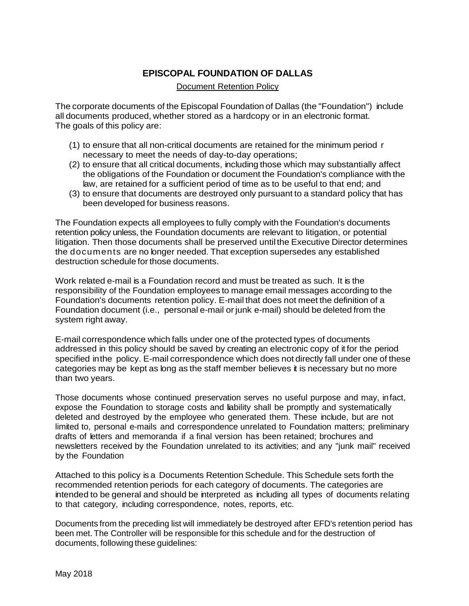## **EPISCOPAL FOUNDATION OF DALLAS**

#### Document Retention Policy

The corporate documents of the Episcopal Foundation of Dallas (the "Foundation") include all documents produced, whether stored as a hardcopy or in an electronic format. The goals of this policy are:

- (1) to ensure that all non-critical documents are retained for the minimum period r necessary to meet the needs of day-to-day operations;
- (2) to ensure that all critical documents, including those which may substantially affect the obligations of the Foundation or document the Foundation's compliance with the law, are retained for a sufficient period of time as to be useful to that end; and
- (3) to ensure that documents are destroyed only pursuant to a standard policy that has been developed for business reasons.

The Foundation expects all employees to fully comply with the Foundation's documents retention policy unless, the Foundation documents are relevant to litigation, or potential litigation. Then those documents shall be preserved until the Executive Director determines the documents are no longer needed. That exception supersedes any established destruction schedule for those documents.

Work related e-mail is a Foundation record and must be treated as such. It is the responsibility of the Foundation employees to manage email messages according to the Foundation's documents retention policy. E-mail that does not meet the definition of a Foundation document (i.e., personal e-mail orjunk e-mail) should be deleted from the system right away.

E-mail correspondence which falls under one of the protected types of documents addressed in this policy should be saved by creating an electronic copy of it for the period specified inthe policy. E-mail correspondence which does not directly fall under one of these categories may be kept as long as the staff member believes it is necessary but no more than two years.

Those documents whose continued preservation serves no useful purpose and may, infact, expose the Foundation to storage costs and liability shall be promptly and systematically deleted and destroyed by the employee who generated them. These include, but are not limited to, personal e-mails and correspondence unrelated to Foundation matters; preliminary drafts of letters and memoranda if a final version has been retained; brochures and newsletters received by the Foundation unrelated to its activities; and any "junk mail" received by the Foundation

Attached to this policy is a Documents Retention Schedule. This Schedule sets forth the recommended retention periods for each category of documents. The categories are intended to be general and should be interpreted as including all types of documents relating to that category, including correspondence, notes, reports, etc.

Documents from the preceding list will immediately be destroyed after EFD's retention period has been met. The Controller will be responsible for this schedule and for the destruction of documents, following these guidelines: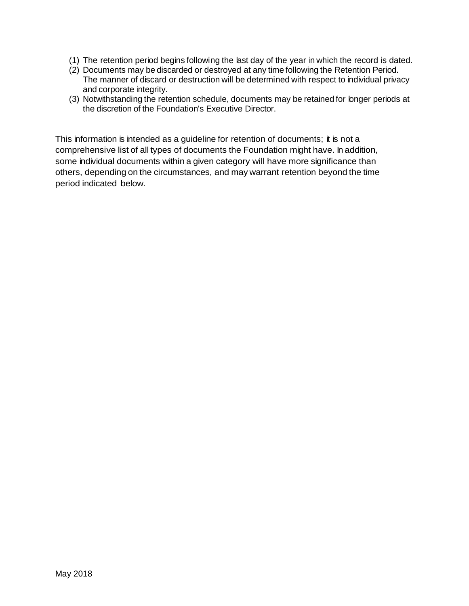- (1) The retention period begins following the last day of the year in which the record is dated.
- (2) Documents may be discarded or destroyed at any time following the Retention Period. The manner of discard or destruction will be determined with respect to individual privacy and corporate integrity.
- (3) Notwithstanding the retention schedule, documents may be retained for longer periods at the discretion of the Foundation's Executive Director.

This information is intended as a guideline for retention of documents; it is not a comprehensive list of all types of documents the Foundation might have. In addition, some individual documents within a given category will have more significance than others, depending on the circumstances, and may warrant retention beyond the time period indicated below.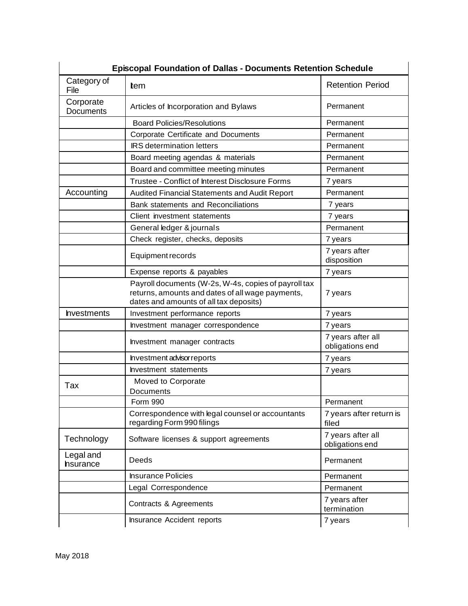| <b>Episcopal Foundation of Dallas - Documents Retention Schedule</b> |                                                                                                                                                    |                                      |  |
|----------------------------------------------------------------------|----------------------------------------------------------------------------------------------------------------------------------------------------|--------------------------------------|--|
| Category of<br>File                                                  | tem                                                                                                                                                | <b>Retention Period</b>              |  |
| Corporate<br><b>Documents</b>                                        | Articles of Incorporation and Bylaws                                                                                                               | Permanent                            |  |
|                                                                      | <b>Board Policies/Resolutions</b>                                                                                                                  | Permanent                            |  |
|                                                                      | Corporate Certificate and Documents                                                                                                                | Permanent                            |  |
|                                                                      | <b>IRS</b> determination letters                                                                                                                   | Permanent                            |  |
|                                                                      | Board meeting agendas & materials                                                                                                                  | Permanent                            |  |
|                                                                      | Board and committee meeting minutes                                                                                                                | Permanent                            |  |
|                                                                      | Trustee - Conflict of Interest Disclosure Forms                                                                                                    | 7 years                              |  |
| Accounting                                                           | Audited Financial Statements and Audit Report                                                                                                      | Permanent                            |  |
|                                                                      | Bank statements and Reconciliations                                                                                                                | 7 years                              |  |
|                                                                      | Client investment statements                                                                                                                       | 7 years                              |  |
|                                                                      | General ledger & journals                                                                                                                          | Permanent                            |  |
|                                                                      | Check register, checks, deposits                                                                                                                   | 7 years                              |  |
|                                                                      | Equipment records                                                                                                                                  | 7 years after<br>disposition         |  |
|                                                                      | Expense reports & payables                                                                                                                         | 7 years                              |  |
|                                                                      | Payroll documents (W-2s, W-4s, copies of payroll tax<br>returns, amounts and dates of all wage payments,<br>dates and amounts of all tax deposits) | 7 years                              |  |
| <b>Investments</b>                                                   | Investment performance reports                                                                                                                     | 7 years                              |  |
|                                                                      | Investment manager correspondence                                                                                                                  | 7 years                              |  |
|                                                                      | Investment manager contracts                                                                                                                       | 7 years after all<br>obligations end |  |
|                                                                      | Investment advisor reports                                                                                                                         | 7 years                              |  |
|                                                                      | Investment statements                                                                                                                              | 7 years                              |  |
| Tax                                                                  | Moved to Corporate<br>Documents                                                                                                                    |                                      |  |
|                                                                      | Form 990                                                                                                                                           | Permanent                            |  |
|                                                                      | Correspondence with legal counsel or accountants<br>regarding Form 990 filings                                                                     | 7 years after return is<br>filed     |  |
| Technology                                                           | Software licenses & support agreements                                                                                                             | 7 years after all<br>obligations end |  |
| Legal and<br>hsurance                                                | Deeds                                                                                                                                              | Permanent                            |  |
|                                                                      | <b>Insurance Policies</b>                                                                                                                          | Permanent                            |  |
|                                                                      | Legal Correspondence                                                                                                                               | Permanent                            |  |
|                                                                      | Contracts & Agreements                                                                                                                             | 7 years after<br>termination         |  |
|                                                                      | Insurance Accident reports                                                                                                                         | 7 years                              |  |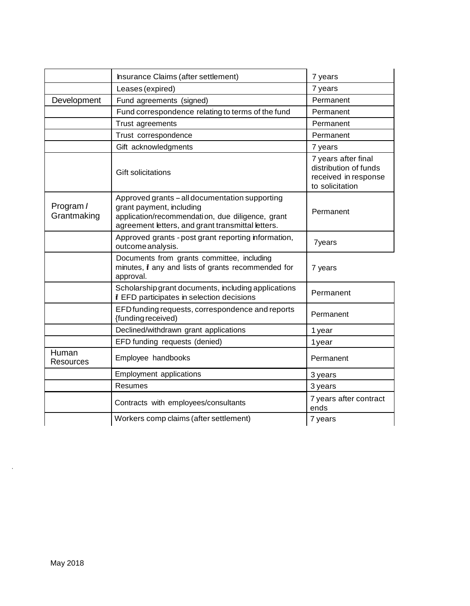|                           | Insurance Claims (after settlement)                                                                                                                                                 | 7 years                                                                                 |
|---------------------------|-------------------------------------------------------------------------------------------------------------------------------------------------------------------------------------|-----------------------------------------------------------------------------------------|
|                           | Leases (expired)                                                                                                                                                                    | 7 years                                                                                 |
| Development               | Fund agreements (signed)                                                                                                                                                            | Permanent                                                                               |
|                           | Fund correspondence relating to terms of the fund                                                                                                                                   | Permanent                                                                               |
|                           | Trust agreements                                                                                                                                                                    | Permanent                                                                               |
|                           | Trust correspondence                                                                                                                                                                | Permanent                                                                               |
|                           | Gift acknowledgments                                                                                                                                                                | 7 years                                                                                 |
|                           | <b>Gift solicitations</b>                                                                                                                                                           | 7 years after final<br>distribution of funds<br>received in response<br>to solicitation |
| Program /<br>Grantmaking  | Approved grants - all documentation supporting<br>grant payment, including<br>application/recommendation, due diligence, grant<br>agreement letters, and grant transmittal letters. | Permanent                                                                               |
|                           | Approved grants - post grant reporting information,<br>outcome analysis.                                                                                                            | <b>7years</b>                                                                           |
|                           | Documents from grants committee, including<br>minutes, i any and lists of grants recommended for<br>approval.                                                                       | 7 years                                                                                 |
|                           | Scholarship grant documents, including applications<br>if EFD participates in selection decisions                                                                                   | Permanent                                                                               |
|                           | EFD funding requests, correspondence and reports<br>{funding received)                                                                                                              | Permanent                                                                               |
|                           | Declined/withdrawn grant applications                                                                                                                                               | 1 year                                                                                  |
|                           | EFD funding requests (denied)                                                                                                                                                       | 1year                                                                                   |
| Human<br><b>Resources</b> | Employee handbooks                                                                                                                                                                  | Permanent                                                                               |
|                           | <b>Employment applications</b>                                                                                                                                                      | 3 years                                                                                 |
|                           | Resumes                                                                                                                                                                             | 3 years                                                                                 |
|                           | Contracts with employees/consultants                                                                                                                                                | 7 years after contract<br>ends                                                          |
|                           | Workers comp claims (after settlement)                                                                                                                                              | 7 years                                                                                 |

·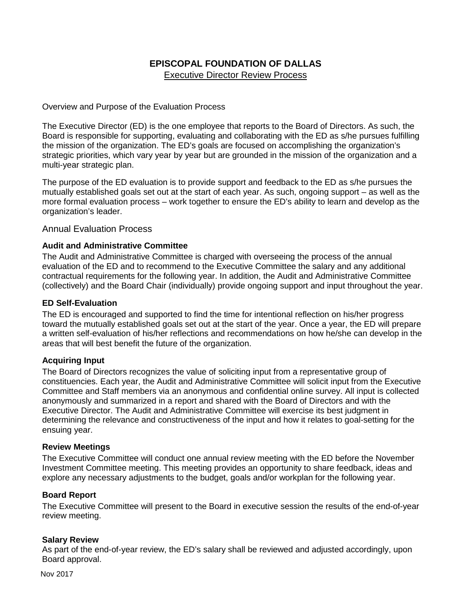# **EPISCOPAL FOUNDATION OF DALLAS** Executive Director Review Process

Overview and Purpose of the Evaluation Process

The Executive Director (ED) is the one employee that reports to the Board of Directors. As such, the Board is responsible for supporting, evaluating and collaborating with the ED as s/he pursues fulfilling the mission of the organization. The ED's goals are focused on accomplishing the organization's strategic priorities, which vary year by year but are grounded in the mission of the organization and a multi-year strategic plan.

The purpose of the ED evaluation is to provide support and feedback to the ED as s/he pursues the mutually established goals set out at the start of each year. As such, ongoing support – as well as the more formal evaluation process – work together to ensure the ED's ability to learn and develop as the organization's leader.

Annual Evaluation Process

## **Audit and Administrative Committee**

The Audit and Administrative Committee is charged with overseeing the process of the annual evaluation of the ED and to recommend to the Executive Committee the salary and any additional contractual requirements for the following year. In addition, the Audit and Administrative Committee (collectively) and the Board Chair (individually) provide ongoing support and input throughout the year.

## **ED Self-Evaluation**

The ED is encouraged and supported to find the time for intentional reflection on his/her progress toward the mutually established goals set out at the start of the year. Once a year, the ED will prepare a written self-evaluation of his/her reflections and recommendations on how he/she can develop in the areas that will best benefit the future of the organization.

## **Acquiring Input**

The Board of Directors recognizes the value of soliciting input from a representative group of constituencies. Each year, the Audit and Administrative Committee will solicit input from the Executive Committee and Staff members via an anonymous and confidential online survey. All input is collected anonymously and summarized in a report and shared with the Board of Directors and with the Executive Director. The Audit and Administrative Committee will exercise its best judgment in determining the relevance and constructiveness of the input and how it relates to goal-setting for the ensuing year.

#### **Review Meetings**

The Executive Committee will conduct one annual review meeting with the ED before the November Investment Committee meeting. This meeting provides an opportunity to share feedback, ideas and explore any necessary adjustments to the budget, goals and/or workplan for the following year.

#### **Board Report**

The Executive Committee will present to the Board in executive session the results of the end-of-year review meeting.

#### **Salary Review**

As part of the end-of-year review, the ED's salary shall be reviewed and adjusted accordingly, upon Board approval.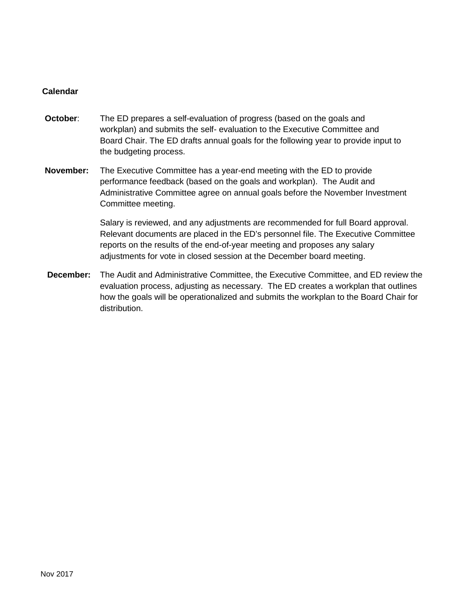## **Calendar**

- **October:** The ED prepares a self-evaluation of progress (based on the goals and workplan) and submits the self- evaluation to the Executive Committee and Board Chair. The ED drafts annual goals for the following year to provide input to the budgeting process.
- **November:** The Executive Committee has a year-end meeting with the ED to provide performance feedback (based on the goals and workplan). The Audit and Administrative Committee agree on annual goals before the November Investment Committee meeting.

Salary is reviewed, and any adjustments are recommended for full Board approval. Relevant documents are placed in the ED's personnel file. The Executive Committee reports on the results of the end-of-year meeting and proposes any salary adjustments for vote in closed session at the December board meeting.

**December:** The Audit and Administrative Committee, the Executive Committee, and ED review the evaluation process, adjusting as necessary. The ED creates a workplan that outlines how the goals will be operationalized and submits the workplan to the Board Chair for distribution.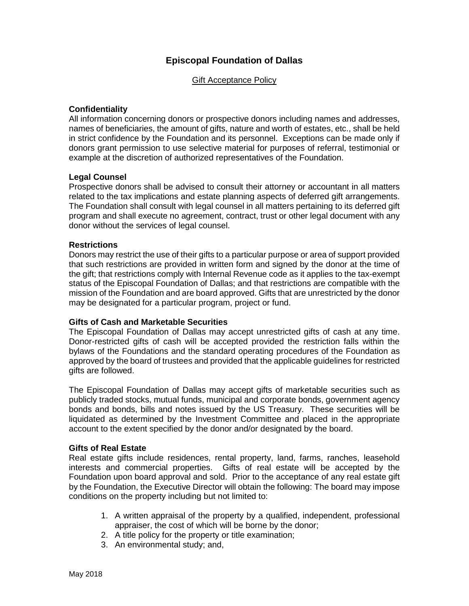## **Episcopal Foundation of Dallas**

Gift Acceptance Policy

## **Confidentiality**

All information concerning donors or prospective donors including names and addresses, names of beneficiaries, the amount of gifts, nature and worth of estates, etc., shall be held in strict confidence by the Foundation and its personnel. Exceptions can be made only if donors grant permission to use selective material for purposes of referral, testimonial or example at the discretion of authorized representatives of the Foundation.

#### **Legal Counsel**

Prospective donors shall be advised to consult their attorney or accountant in all matters related to the tax implications and estate planning aspects of deferred gift arrangements. The Foundation shall consult with legal counsel in all matters pertaining to its deferred gift program and shall execute no agreement, contract, trust or other legal document with any donor without the services of legal counsel.

#### **Restrictions**

Donors may restrict the use of their gifts to a particular purpose or area of support provided that such restrictions are provided in written form and signed by the donor at the time of the gift; that restrictions comply with Internal Revenue code as it applies to the tax-exempt status of the Episcopal Foundation of Dallas; and that restrictions are compatible with the mission of the Foundation and are board approved. Gifts that are unrestricted by the donor may be designated for a particular program, project or fund.

#### **Gifts of Cash and Marketable Securities**

The Episcopal Foundation of Dallas may accept unrestricted gifts of cash at any time. Donor-restricted gifts of cash will be accepted provided the restriction falls within the bylaws of the Foundations and the standard operating procedures of the Foundation as approved by the board of trustees and provided that the applicable guidelines for restricted gifts are followed.

The Episcopal Foundation of Dallas may accept gifts of marketable securities such as publicly traded stocks, mutual funds, municipal and corporate bonds, government agency bonds and bonds, bills and notes issued by the US Treasury. These securities will be liquidated as determined by the Investment Committee and placed in the appropriate account to the extent specified by the donor and/or designated by the board.

#### **Gifts of Real Estate**

Real estate gifts include residences, rental property, land, farms, ranches, leasehold interests and commercial properties. Gifts of real estate will be accepted by the Foundation upon board approval and sold. Prior to the acceptance of any real estate gift by the Foundation, the Executive Director will obtain the following: The board may impose conditions on the property including but not limited to:

- 1. A written appraisal of the property by a qualified, independent, professional appraiser, the cost of which will be borne by the donor;
- 2. A title policy for the property or title examination;
- 3. An environmental study; and,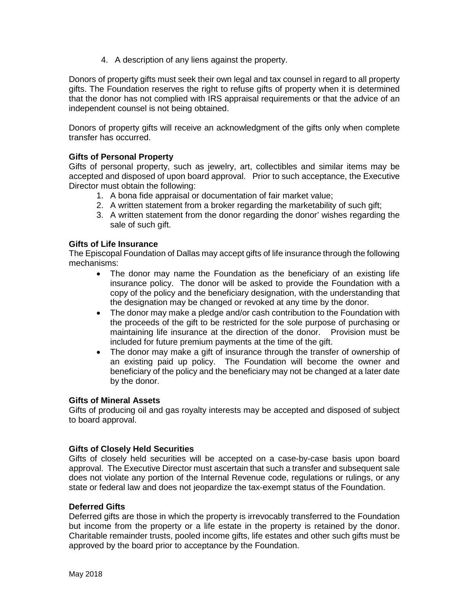4. A description of any liens against the property.

Donors of property gifts must seek their own legal and tax counsel in regard to all property gifts. The Foundation reserves the right to refuse gifts of property when it is determined that the donor has not complied with IRS appraisal requirements or that the advice of an independent counsel is not being obtained.

Donors of property gifts will receive an acknowledgment of the gifts only when complete transfer has occurred.

## **Gifts of Personal Property**

Gifts of personal property, such as jewelry, art, collectibles and similar items may be accepted and disposed of upon board approval. Prior to such acceptance, the Executive Director must obtain the following:

- 1. A bona fide appraisal or documentation of fair market value;
- 2. A written statement from a broker regarding the marketability of such gift;
- 3. A written statement from the donor regarding the donor' wishes regarding the sale of such gift.

#### **Gifts of Life Insurance**

The Episcopal Foundation of Dallas may accept gifts of life insurance through the following mechanisms:

- The donor may name the Foundation as the beneficiary of an existing life insurance policy. The donor will be asked to provide the Foundation with a copy of the policy and the beneficiary designation, with the understanding that the designation may be changed or revoked at any time by the donor.
- The donor may make a pledge and/or cash contribution to the Foundation with the proceeds of the gift to be restricted for the sole purpose of purchasing or maintaining life insurance at the direction of the donor. Provision must be included for future premium payments at the time of the gift.
- The donor may make a gift of insurance through the transfer of ownership of an existing paid up policy. The Foundation will become the owner and beneficiary of the policy and the beneficiary may not be changed at a later date by the donor.

#### **Gifts of Mineral Assets**

Gifts of producing oil and gas royalty interests may be accepted and disposed of subject to board approval.

#### **Gifts of Closely Held Securities**

Gifts of closely held securities will be accepted on a case-by-case basis upon board approval. The Executive Director must ascertain that such a transfer and subsequent sale does not violate any portion of the Internal Revenue code, regulations or rulings, or any state or federal law and does not jeopardize the tax-exempt status of the Foundation.

#### **Deferred Gifts**

Deferred gifts are those in which the property is irrevocably transferred to the Foundation but income from the property or a life estate in the property is retained by the donor. Charitable remainder trusts, pooled income gifts, life estates and other such gifts must be approved by the board prior to acceptance by the Foundation.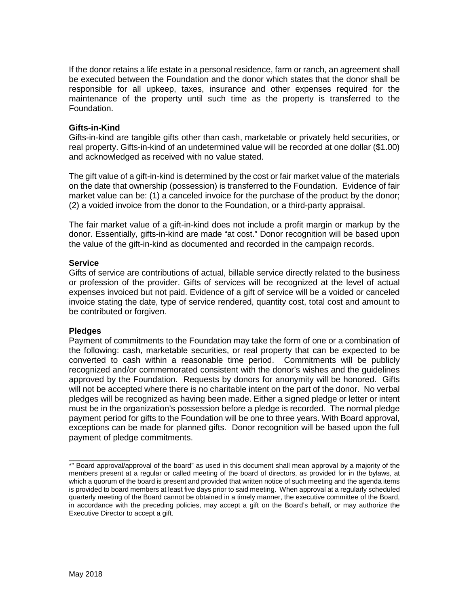If the donor retains a life estate in a personal residence, farm or ranch, an agreement shall be executed between the Foundation and the donor which states that the donor shall be responsible for all upkeep, taxes, insurance and other expenses required for the maintenance of the property until such time as the property is transferred to the Foundation.

#### **Gifts-in-Kind**

Gifts-in-kind are tangible gifts other than cash, marketable or privately held securities, or real property. Gifts-in-kind of an undetermined value will be recorded at one dollar (\$1.00) and acknowledged as received with no value stated.

The gift value of a gift-in-kind is determined by the cost or fair market value of the materials on the date that ownership (possession) is transferred to the Foundation. Evidence of fair market value can be: (1) a canceled invoice for the purchase of the product by the donor; (2) a voided invoice from the donor to the Foundation, or a third-party appraisal.

The fair market value of a gift-in-kind does not include a profit margin or markup by the donor. Essentially, gifts-in-kind are made "at cost." Donor recognition will be based upon the value of the gift-in-kind as documented and recorded in the campaign records.

## **Service**

Gifts of service are contributions of actual, billable service directly related to the business or profession of the provider. Gifts of services will be recognized at the level of actual expenses invoiced but not paid. Evidence of a gift of service will be a voided or canceled invoice stating the date, type of service rendered, quantity cost, total cost and amount to be contributed or forgiven.

#### **Pledges**

Payment of commitments to the Foundation may take the form of one or a combination of the following: cash, marketable securities, or real property that can be expected to be converted to cash within a reasonable time period. Commitments will be publicly recognized and/or commemorated consistent with the donor's wishes and the guidelines approved by the Foundation. Requests by donors for anonymity will be honored. Gifts will not be accepted where there is no charitable intent on the part of the donor. No verbal pledges will be recognized as having been made. Either a signed pledge or letter or intent must be in the organization's possession before a pledge is recorded. The normal pledge payment period for gifts to the Foundation will be one to three years. With Board approval, exceptions can be made for planned gifts. Donor recognition will be based upon the full payment of pledge commitments.

 $\overline{\phantom{a}}$  , where  $\overline{\phantom{a}}$ 

<sup>\*&</sup>quot; Board approval/approval of the board" as used in this document shall mean approval by a majority of the members present at a regular or called meeting of the board of directors, as provided for in the bylaws, at which a quorum of the board is present and provided that written notice of such meeting and the agenda items is provided to board members at least five days prior to said meeting. When approval at a regularly scheduled quarterly meeting of the Board cannot be obtained in a timely manner, the executive committee of the Board, in accordance with the preceding policies, may accept a gift on the Board's behalf, or may authorize the Executive Director to accept a gift.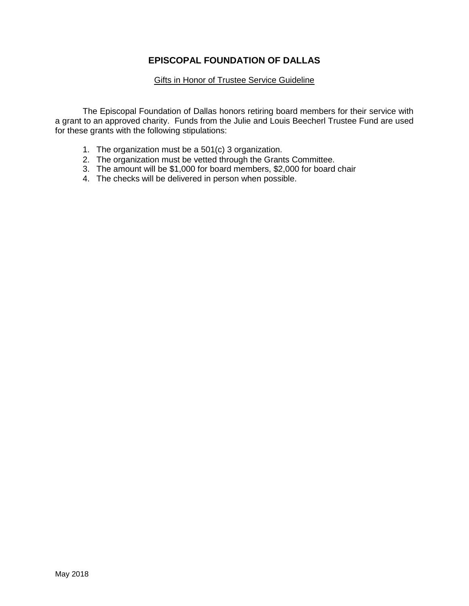## **EPISCOPAL FOUNDATION OF DALLAS**

#### **Gifts in Honor of Trustee Service Guideline**

The Episcopal Foundation of Dallas honors retiring board members for their service with a grant to an approved charity. Funds from the Julie and Louis Beecherl Trustee Fund are used for these grants with the following stipulations:

- 1. The organization must be a 501(c) 3 organization.
- 2. The organization must be vetted through the Grants Committee.
- 3. The amount will be \$1,000 for board members, \$2,000 for board chair
- 4. The checks will be delivered in person when possible.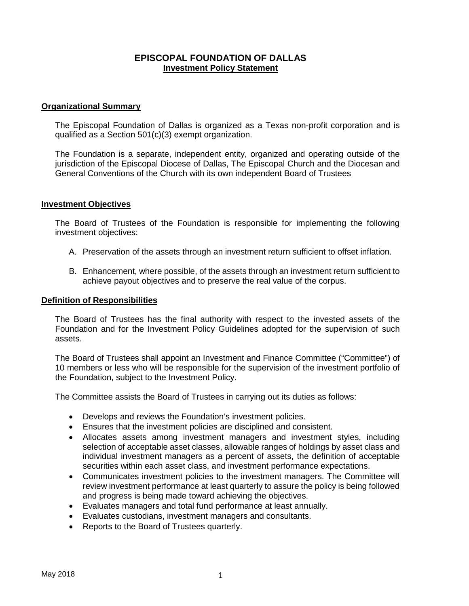## **EPISCOPAL FOUNDATION OF DALLAS Investment Policy Statement**

#### **Organizational Summary**

The Episcopal Foundation of Dallas is organized as a Texas non-profit corporation and is qualified as a Section 501(c)(3) exempt organization.

The Foundation is a separate, independent entity, organized and operating outside of the jurisdiction of the Episcopal Diocese of Dallas, The Episcopal Church and the Diocesan and General Conventions of the Church with its own independent Board of Trustees

#### **Investment Objectives**

The Board of Trustees of the Foundation is responsible for implementing the following investment objectives:

- A. Preservation of the assets through an investment return sufficient to offset inflation.
- B. Enhancement, where possible, of the assets through an investment return sufficient to achieve payout objectives and to preserve the real value of the corpus.

#### **Definition of Responsibilities**

The Board of Trustees has the final authority with respect to the invested assets of the Foundation and for the Investment Policy Guidelines adopted for the supervision of such assets.

The Board of Trustees shall appoint an Investment and Finance Committee ("Committee") of 10 members or less who will be responsible for the supervision of the investment portfolio of the Foundation, subject to the Investment Policy.

The Committee assists the Board of Trustees in carrying out its duties as follows:

- Develops and reviews the Foundation's investment policies.
- Ensures that the investment policies are disciplined and consistent.
- Allocates assets among investment managers and investment styles, including selection of acceptable asset classes, allowable ranges of holdings by asset class and individual investment managers as a percent of assets, the definition of acceptable securities within each asset class, and investment performance expectations.
- Communicates investment policies to the investment managers. The Committee will review investment performance at least quarterly to assure the policy is being followed and progress is being made toward achieving the objectives.
- Evaluates managers and total fund performance at least annually.
- Evaluates custodians, investment managers and consultants.
- Reports to the Board of Trustees quarterly.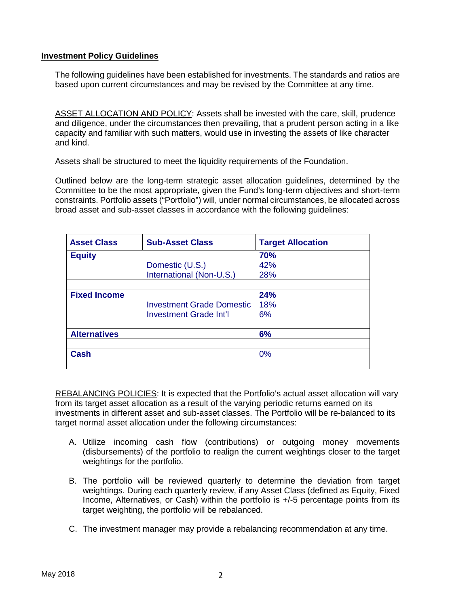## **Investment Policy Guidelines**

The following guidelines have been established for investments. The standards and ratios are based upon current circumstances and may be revised by the Committee at any time.

ASSET ALLOCATION AND POLICY: Assets shall be invested with the care, skill, prudence and diligence, under the circumstances then prevailing, that a prudent person acting in a like capacity and familiar with such matters, would use in investing the assets of like character and kind.

Assets shall be structured to meet the liquidity requirements of the Foundation.

Outlined below are the long-term strategic asset allocation guidelines, determined by the Committee to be the most appropriate, given the Fund's long-term objectives and short-term constraints. Portfolio assets ("Portfolio") will, under normal circumstances, be allocated across broad asset and sub-asset classes in accordance with the following guidelines:

| <b>Asset Class</b>  | <b>Sub-Asset Class</b>        | <b>Target Allocation</b> |
|---------------------|-------------------------------|--------------------------|
| <b>Equity</b>       |                               | <b>70%</b>               |
|                     | Domestic (U.S.)               | 42%                      |
|                     | International (Non-U.S.)      | 28%                      |
|                     |                               |                          |
| <b>Fixed Income</b> |                               | 24%                      |
|                     | Investment Grade Domestic     | <b>18%</b>               |
|                     | <b>Investment Grade Int'l</b> | 6%                       |
| <b>Alternatives</b> |                               | 6%                       |
|                     |                               |                          |
| Cash                |                               | 0%                       |
|                     |                               |                          |

REBALANCING POLICIES: It is expected that the Portfolio's actual asset allocation will vary from its target asset allocation as a result of the varying periodic returns earned on its investments in different asset and sub-asset classes. The Portfolio will be re-balanced to its target normal asset allocation under the following circumstances:

- A. Utilize incoming cash flow (contributions) or outgoing money movements (disbursements) of the portfolio to realign the current weightings closer to the target weightings for the portfolio.
- B. The portfolio will be reviewed quarterly to determine the deviation from target weightings. During each quarterly review, if any Asset Class (defined as Equity, Fixed Income, Alternatives, or Cash) within the portfolio is +/-5 percentage points from its target weighting, the portfolio will be rebalanced.
- C. The investment manager may provide a rebalancing recommendation at any time.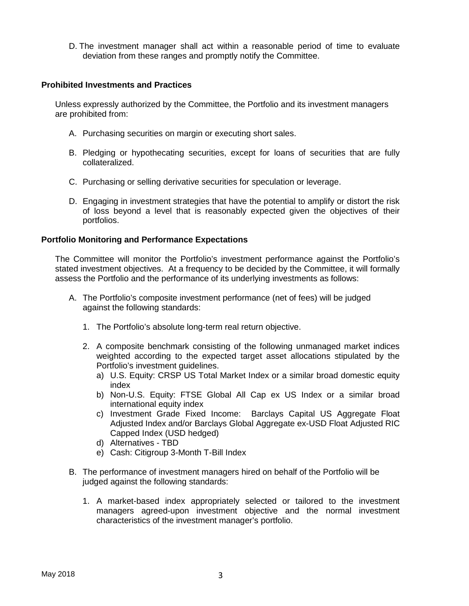D. The investment manager shall act within a reasonable period of time to evaluate deviation from these ranges and promptly notify the Committee.

#### **Prohibited Investments and Practices**

Unless expressly authorized by the Committee, the Portfolio and its investment managers are prohibited from:

- A. Purchasing securities on margin or executing short sales.
- B. Pledging or hypothecating securities, except for loans of securities that are fully collateralized.
- C. Purchasing or selling derivative securities for speculation or leverage.
- D. Engaging in investment strategies that have the potential to amplify or distort the risk of loss beyond a level that is reasonably expected given the objectives of their portfolios.

## **Portfolio Monitoring and Performance Expectations**

The Committee will monitor the Portfolio's investment performance against the Portfolio's stated investment objectives. At a frequency to be decided by the Committee, it will formally assess the Portfolio and the performance of its underlying investments as follows:

- A. The Portfolio's composite investment performance (net of fees) will be judged against the following standards:
	- 1. The Portfolio's absolute long-term real return objective.
	- 2. A composite benchmark consisting of the following unmanaged market indices weighted according to the expected target asset allocations stipulated by the Portfolio's investment guidelines.
		- a) U.S. Equity: CRSP US Total Market Index or a similar broad domestic equity index
		- b) Non-U.S. Equity: FTSE Global All Cap ex US Index or a similar broad international equity index
		- c) Investment Grade Fixed Income: Barclays Capital US Aggregate Float Adjusted Index and/or Barclays Global Aggregate ex-USD Float Adjusted RIC Capped Index (USD hedged)
		- d) Alternatives TBD
		- e) Cash: Citigroup 3-Month T-Bill Index
- B. The performance of investment managers hired on behalf of the Portfolio will be judged against the following standards:
	- 1. A market-based index appropriately selected or tailored to the investment managers agreed-upon investment objective and the normal investment characteristics of the investment manager's portfolio.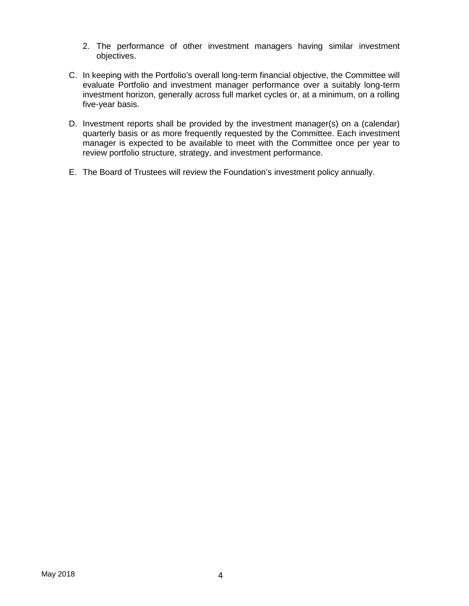- 2. The performance of other investment managers having similar investment objectives.
- C. In keeping with the Portfolio's overall long-term financial objective, the Committee will evaluate Portfolio and investment manager performance over a suitably long-term investment horizon, generally across full market cycles or, at a minimum, on a rolling five-year basis.
- D. Investment reports shall be provided by the investment manager(s) on a (calendar) quarterly basis or as more frequently requested by the Committee. Each investment manager is expected to be available to meet with the Committee once per year to review portfolio structure, strategy, and investment performance.
- E. The Board of Trustees will review the Foundation's investment policy annually.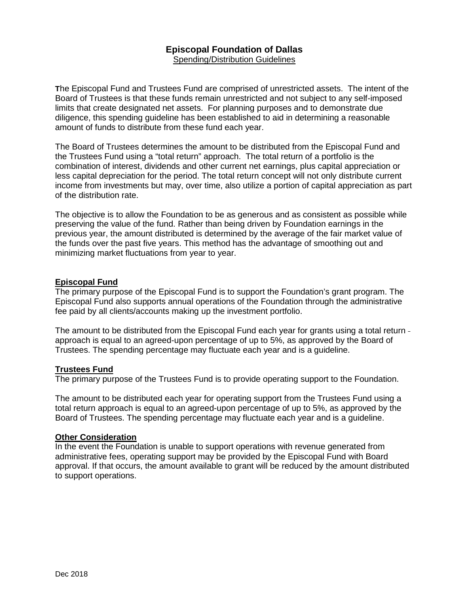## **Episcopal Foundation of Dallas** Spending/Distribution Guidelines

**T**he Episcopal Fund and Trustees Fund are comprised of unrestricted assets. The intent of the Board of Trustees is that these funds remain unrestricted and not subject to any self-imposed limits that create designated net assets. For planning purposes and to demonstrate due diligence, this spending guideline has been established to aid in determining a reasonable amount of funds to distribute from these fund each year.

The Board of Trustees determines the amount to be distributed from the Episcopal Fund and the Trustees Fund using a "total return" approach. The total return of a portfolio is the combination of interest, dividends and other current net earnings, plus capital appreciation or less capital depreciation for the period. The total return concept will not only distribute current income from investments but may, over time, also utilize a portion of capital appreciation as part of the distribution rate.

The objective is to allow the Foundation to be as generous and as consistent as possible while preserving the value of the fund. Rather than being driven by Foundation earnings in the previous year, the amount distributed is determined by the average of the fair market value of the funds over the past five years. This method has the advantage of smoothing out and minimizing market fluctuations from year to year.

#### **Episcopal Fund**

The primary purpose of the Episcopal Fund is to support the Foundation's grant program. The Episcopal Fund also supports annual operations of the Foundation through the administrative fee paid by all clients/accounts making up the investment portfolio.

The amount to be distributed from the Episcopal Fund each year for grants using a total return approach is equal to an agreed-upon percentage of up to 5%, as approved by the Board of Trustees. The spending percentage may fluctuate each year and is a guideline.

#### **Trustees Fund**

The primary purpose of the Trustees Fund is to provide operating support to the Foundation.

The amount to be distributed each year for operating support from the Trustees Fund using a total return approach is equal to an agreed-upon percentage of up to 5%, as approved by the Board of Trustees. The spending percentage may fluctuate each year and is a guideline.

#### **Other Consideration**

In the event the Foundation is unable to support operations with revenue generated from administrative fees, operating support may be provided by the Episcopal Fund with Board approval. If that occurs, the amount available to grant will be reduced by the amount distributed to support operations.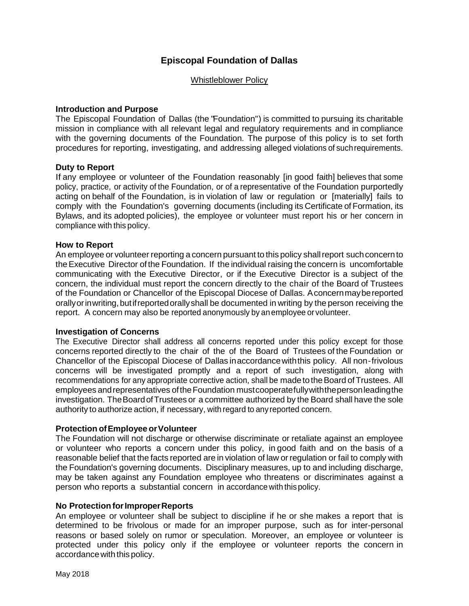## **Episcopal Foundation of Dallas**

#### Whistleblower Policy

#### **Introduction and Purpose**

The Episcopal Foundation of Dallas (the "Foundation") is committed to pursuing its charitable mission in compliance with all relevant legal and regulatory requirements and in compliance with the governing documents of the Foundation. The purpose of this policy is to set forth procedures for reporting, investigating, and addressing alleged violations of suchrequirements.

#### **Duty to Report**

If any employee or volunteer of the Foundation reasonably [in good faith] believes that some policy, practice, or activity of the Foundation, or of a representative of the Foundation purportedly acting on behalf of the Foundation, is in violation of law or regulation or [materially] fails to comply with the Foundation's governing documents (including its Certificate of Formation, its Bylaws, and its adopted policies), the employee or volunteer must report his or her concern in compliance with this policy.

#### **How to Report**

An employee or volunteer reporting a concern pursuant to this policy shall report such concern to theExecutive Director of the Foundation. If the individual raising the concern is uncomfortable communicating with the Executive Director, or if the Executive Director is a subject of the concern, the individual must report the concern directly to the chair of the Board of Trustees of the Foundation or Chancellor of the Episcopal Diocese of Dallas. Aconcernmaybereported orallyorinwriting,butifreportedorallyshall be documented in writing by the person receiving the report. A concern may also be reported anonymously by anemployee or volunteer.

#### **Investigation of Concerns**

The Executive Director shall address all concerns reported under this policy except for those concerns reported directly to the chair of the of the Board of Trustees of the Foundation or Chancellor of the Episcopal Diocese of Dallas inaccordancewiththis policy. All non-frivolous concerns will be investigated promptly and a report of such investigation, along with recommendations for any appropriate corrective action, shall be made to the Board of Trustees. All employees andrepresentatives oftheFoundation mustcooperatefullywiththepersonleadingthe investigation. TheBoardofTrustees or a committee authorized by the Board shall have the sole authority to authorize action, if necessary, with regard to anyreported concern.

#### **Protection ofEmployee orVolunteer**

The Foundation will not discharge or otherwise discriminate or retaliate against an employee or volunteer who reports a concern under this policy, in good faith and on the basis of a reasonable belief that the facts reported are in violation of law or regulation or fail to comply with the Foundation's governing documents. Disciplinary measures, up to and including discharge, may be taken against any Foundation employee who threatens or discriminates against a person who reports a substantial concern in accordance with thispolicy.

#### **No Protection for Improper Reports**

An employee or volunteer shall be subject to discipline if he or she makes a report that is determined to be frivolous or made for an improper purpose, such as for inter-personal reasons or based solely on rumor or speculation. Moreover, an employee or volunteer is protected under this policy only if the employee or volunteer reports the concern in accordance with this policy.